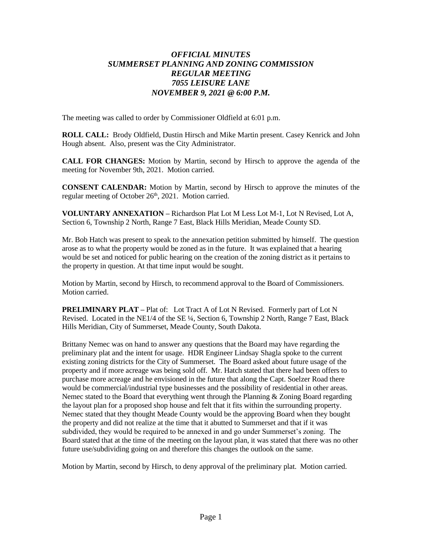## *OFFICIAL MINUTES SUMMERSET PLANNING AND ZONING COMMISSION REGULAR MEETING 7055 LEISURE LANE NOVEMBER 9, 2021 @ 6:00 P.M.*

The meeting was called to order by Commissioner Oldfield at 6:01 p.m.

**ROLL CALL:** Brody Oldfield, Dustin Hirsch and Mike Martin present. Casey Kenrick and John Hough absent. Also, present was the City Administrator.

**CALL FOR CHANGES:** Motion by Martin, second by Hirsch to approve the agenda of the meeting for November 9th, 2021. Motion carried.

**CONSENT CALENDAR:** Motion by Martin, second by Hirsch to approve the minutes of the regular meeting of October 26<sup>th</sup>, 2021. Motion carried.

**VOLUNTARY ANNEXATION –** Richardson Plat Lot M Less Lot M-1, Lot N Revised, Lot A, Section 6, Township 2 North, Range 7 East, Black Hills Meridian, Meade County SD.

Mr. Bob Hatch was present to speak to the annexation petition submitted by himself. The question arose as to what the property would be zoned as in the future. It was explained that a hearing would be set and noticed for public hearing on the creation of the zoning district as it pertains to the property in question. At that time input would be sought.

Motion by Martin, second by Hirsch, to recommend approval to the Board of Commissioners. Motion carried.

**PRELIMINARY PLAT –** Plat of: Lot Tract A of Lot N Revised. Formerly part of Lot N Revised. Located in the NE1/4 of the SE ¼, Section 6, Township 2 North, Range 7 East, Black Hills Meridian, City of Summerset, Meade County, South Dakota.

Brittany Nemec was on hand to answer any questions that the Board may have regarding the preliminary plat and the intent for usage. HDR Engineer Lindsay Shagla spoke to the current existing zoning districts for the City of Summerset. The Board asked about future usage of the property and if more acreage was being sold off. Mr. Hatch stated that there had been offers to purchase more acreage and he envisioned in the future that along the Capt. Soelzer Road there would be commercial/industrial type businesses and the possibility of residential in other areas. Nemec stated to the Board that everything went through the Planning & Zoning Board regarding the layout plan for a proposed shop house and felt that it fits within the surrounding property. Nemec stated that they thought Meade County would be the approving Board when they bought the property and did not realize at the time that it abutted to Summerset and that if it was subdivided, they would be required to be annexed in and go under Summerset's zoning. The Board stated that at the time of the meeting on the layout plan, it was stated that there was no other future use/subdividing going on and therefore this changes the outlook on the same.

Motion by Martin, second by Hirsch, to deny approval of the preliminary plat. Motion carried.